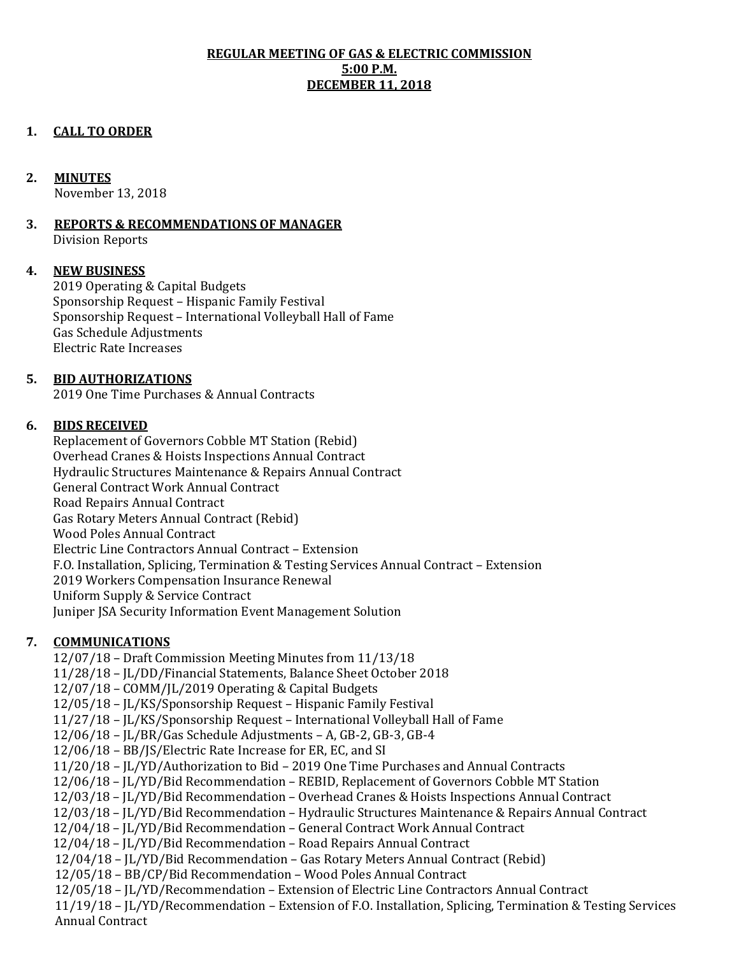# **REGULAR MEETING OF GAS & ELECTRIC COMMISSION 5:00 P.M. DECEMBER 11, 2018**

# **1. CALL TO ORDER**

#### **2. MINUTES**

November 13, 2018

#### **3. REPORTS & RECOMMENDATIONS OF MANAGER** Division Reports

#### **4. NEW BUSINESS**

2019 Operating & Capital Budgets Sponsorship Request – Hispanic Family Festival Sponsorship Request – International Volleyball Hall of Fame Gas Schedule Adjustments Electric Rate Increases

# **5. BID AUTHORIZATIONS**

2019 One Time Purchases & Annual Contracts

# **6. BIDS RECEIVED**

Replacement of Governors Cobble MT Station (Rebid) Overhead Cranes & Hoists Inspections Annual Contract Hydraulic Structures Maintenance & Repairs Annual Contract General Contract Work Annual Contract Road Repairs Annual Contract Gas Rotary Meters Annual Contract (Rebid) Wood Poles Annual Contract Electric Line Contractors Annual Contract – Extension F.O. Installation, Splicing, Termination & Testing Services Annual Contract – Extension 2019 Workers Compensation Insurance Renewal Uniform Supply & Service Contract Juniper JSA Security Information Event Management Solution

#### **7. COMMUNICATIONS**

12/07/18 – Draft Commission Meeting Minutes from 11/13/18 11/28/18 – JL/DD/Financial Statements, Balance Sheet October 2018 12/07/18 – COMM/JL/2019 Operating & Capital Budgets 12/05/18 – JL/KS/Sponsorship Request – Hispanic Family Festival 11/27/18 – JL/KS/Sponsorship Request – International Volleyball Hall of Fame 12/06/18 – JL/BR/Gas Schedule Adjustments – A, GB-2, GB-3, GB-4 12/06/18 – BB/JS/Electric Rate Increase for ER, EC, and SI 11/20/18 – JL/YD/Authorization to Bid – 2019 One Time Purchases and Annual Contracts 12/06/18 – JL/YD/Bid Recommendation – REBID, Replacement of Governors Cobble MT Station 12/03/18 – JL/YD/Bid Recommendation – Overhead Cranes & Hoists Inspections Annual Contract 12/03/18 – JL/YD/Bid Recommendation – Hydraulic Structures Maintenance & Repairs Annual Contract 12/04/18 – JL/YD/Bid Recommendation – General Contract Work Annual Contract 12/04/18 – JL/YD/Bid Recommendation – Road Repairs Annual Contract 12/04/18 – JL/YD/Bid Recommendation – Gas Rotary Meters Annual Contract (Rebid) 12/05/18 – BB/CP/Bid Recommendation – Wood Poles Annual Contract 12/05/18 – JL/YD/Recommendation – Extension of Electric Line Contractors Annual Contract 11/19/18 – JL/YD/Recommendation – Extension of F.O. Installation, Splicing, Termination & Testing Services Annual Contract